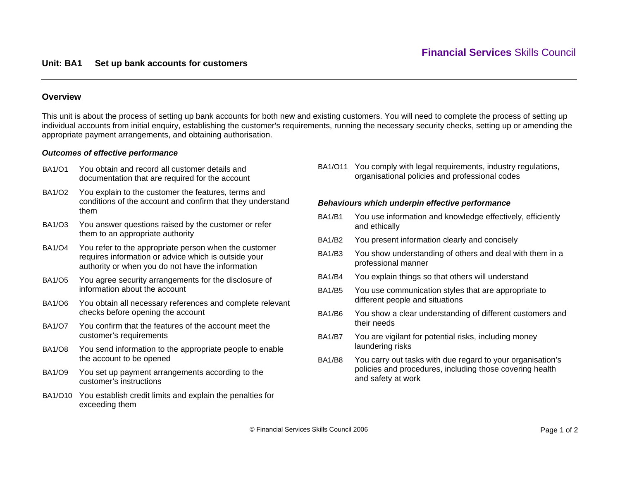## **Unit: BA1 Set up bank accounts for customers**

# **Overview**

This unit is about the process of setting up bank accounts for both new and existing customers. You will need to complete the process of setting up individual accounts from initial enquiry, establishing the customer's requirements, running the necessary security checks, setting up or amending the appropriate payment arrangements, and obtaining authorisation.

### *Outcomes of effective performance*

- BA1/O1 You obtain and record all customer details and documentation that are required for the account
- BA1/O2 You explain to the customer the features, terms and conditions of the account and confirm that they understand them
- BA1/O3 You answer questions raised by the customer or refer them to an appropriate authority
- BA1/O4 You refer to the appropriate person when the customer requires information or advice which is outside your authority or when you do not have the information
- BA1/O5 You agree security arrangements for the disclosure of information about the account
- BA1/O6 You obtain all necessary references and complete relevant checks before opening the account
- BA1/O7 You confirm that the features of the account meet the customer's requirements
- BA1/O8 You send information to the appropriate people to enable the account to be opened
- BA1/O9 You set up payment arrangements according to the customer's instructions
- BA1/O10 You establish credit limits and explain the penalties for exceeding them

BA1/O11 You comply with legal requirements, industry regulations, organisational policies and professional codes

#### *Behaviours which underpin effective performance*

- BA1/B1 You use information and knowledge effectively, efficiently and ethically
- BA1/B2 You present information clearly and concisely
- BA1/B3 You show understanding of others and deal with them in a professional manner
- BA1/B4 You explain things so that others will understand
- BA1/B5 You use communication styles that are appropriate to different people and situations
- BA1/B6 You show a clear understanding of different customers and their needs
- BA1/B7 You are vigilant for potential risks, including money laundering risks
- BA1/B8 You carry out tasks with due regard to your organisation's policies and procedures, including those covering health and safety at work